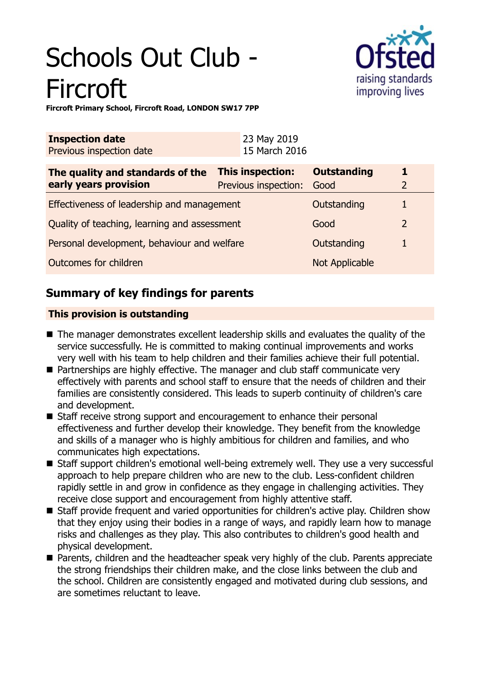# Schools Out Club - Fircroft



**Fircroft Primary School, Fircroft Road, LONDON SW17 7PP**

| <b>Inspection date</b><br>Previous inspection date        | 23 May 2019<br>15 March 2016                    |                            |   |
|-----------------------------------------------------------|-------------------------------------------------|----------------------------|---|
| The quality and standards of the<br>early years provision | <b>This inspection:</b><br>Previous inspection: | <b>Outstanding</b><br>Good | 1 |
| Effectiveness of leadership and management                |                                                 | Outstanding                |   |
| Quality of teaching, learning and assessment              |                                                 | Good                       | 2 |
| Personal development, behaviour and welfare               |                                                 | Outstanding                |   |
| Outcomes for children                                     |                                                 | Not Applicable             |   |

# **Summary of key findings for parents**

# **This provision is outstanding**

- $\blacksquare$  The manager demonstrates excellent leadership skills and evaluates the quality of the service successfully. He is committed to making continual improvements and works very well with his team to help children and their families achieve their full potential.
- Partnerships are highly effective. The manager and club staff communicate very effectively with parents and school staff to ensure that the needs of children and their families are consistently considered. This leads to superb continuity of children's care and development.
- Staff receive strong support and encouragement to enhance their personal effectiveness and further develop their knowledge. They benefit from the knowledge and skills of a manager who is highly ambitious for children and families, and who communicates high expectations.
- Staff support children's emotional well-being extremely well. They use a very successful approach to help prepare children who are new to the club. Less-confident children rapidly settle in and grow in confidence as they engage in challenging activities. They receive close support and encouragement from highly attentive staff.
- Staff provide frequent and varied opportunities for children's active play. Children show that they enjoy using their bodies in a range of ways, and rapidly learn how to manage risks and challenges as they play. This also contributes to children's good health and physical development.
- Parents, children and the headteacher speak very highly of the club. Parents appreciate the strong friendships their children make, and the close links between the club and the school. Children are consistently engaged and motivated during club sessions, and are sometimes reluctant to leave.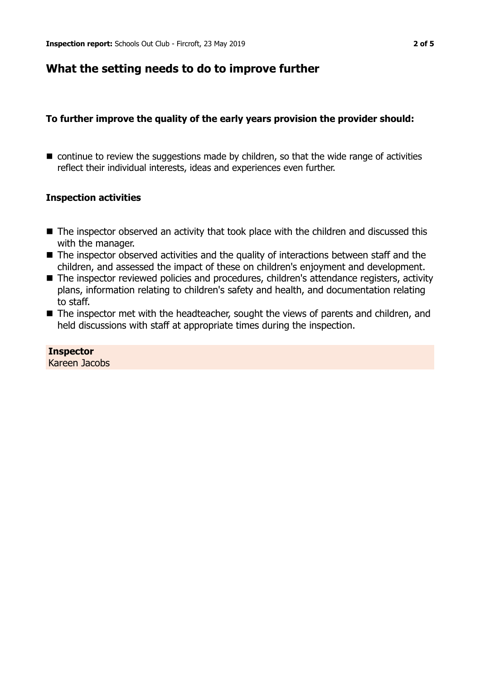# **What the setting needs to do to improve further**

# **To further improve the quality of the early years provision the provider should:**

 $\blacksquare$  continue to review the suggestions made by children, so that the wide range of activities reflect their individual interests, ideas and experiences even further.

## **Inspection activities**

- $\blacksquare$  The inspector observed an activity that took place with the children and discussed this with the manager.
- $\blacksquare$  The inspector observed activities and the quality of interactions between staff and the children, and assessed the impact of these on children's enjoyment and development.
- The inspector reviewed policies and procedures, children's attendance registers, activity plans, information relating to children's safety and health, and documentation relating to staff.
- $\blacksquare$  The inspector met with the headteacher, sought the views of parents and children, and held discussions with staff at appropriate times during the inspection.

#### **Inspector** Kareen Jacobs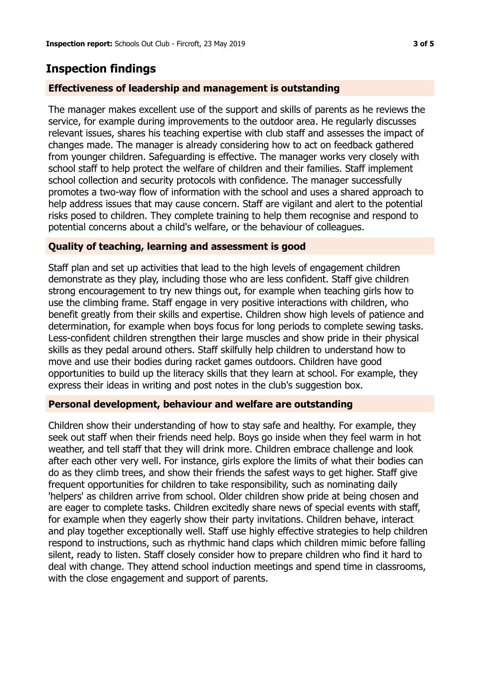# **Inspection findings**

# **Effectiveness of leadership and management is outstanding**

The manager makes excellent use of the support and skills of parents as he reviews the service, for example during improvements to the outdoor area. He regularly discusses relevant issues, shares his teaching expertise with club staff and assesses the impact of changes made. The manager is already considering how to act on feedback gathered from younger children. Safeguarding is effective. The manager works very closely with school staff to help protect the welfare of children and their families. Staff implement school collection and security protocols with confidence. The manager successfully promotes a two-way flow of information with the school and uses a shared approach to help address issues that may cause concern. Staff are vigilant and alert to the potential risks posed to children. They complete training to help them recognise and respond to potential concerns about a child's welfare, or the behaviour of colleagues.

### **Quality of teaching, learning and assessment is good**

Staff plan and set up activities that lead to the high levels of engagement children demonstrate as they play, including those who are less confident. Staff give children strong encouragement to try new things out, for example when teaching girls how to use the climbing frame. Staff engage in very positive interactions with children, who benefit greatly from their skills and expertise. Children show high levels of patience and determination, for example when boys focus for long periods to complete sewing tasks. Less-confident children strengthen their large muscles and show pride in their physical skills as they pedal around others. Staff skilfully help children to understand how to move and use their bodies during racket games outdoors. Children have good opportunities to build up the literacy skills that they learn at school. For example, they express their ideas in writing and post notes in the club's suggestion box.

## **Personal development, behaviour and welfare are outstanding**

Children show their understanding of how to stay safe and healthy. For example, they seek out staff when their friends need help. Boys go inside when they feel warm in hot weather, and tell staff that they will drink more. Children embrace challenge and look after each other very well. For instance, girls explore the limits of what their bodies can do as they climb trees, and show their friends the safest ways to get higher. Staff give frequent opportunities for children to take responsibility, such as nominating daily 'helpers' as children arrive from school. Older children show pride at being chosen and are eager to complete tasks. Children excitedly share news of special events with staff, for example when they eagerly show their party invitations. Children behave, interact and play together exceptionally well. Staff use highly effective strategies to help children respond to instructions, such as rhythmic hand claps which children mimic before falling silent, ready to listen. Staff closely consider how to prepare children who find it hard to deal with change. They attend school induction meetings and spend time in classrooms, with the close engagement and support of parents.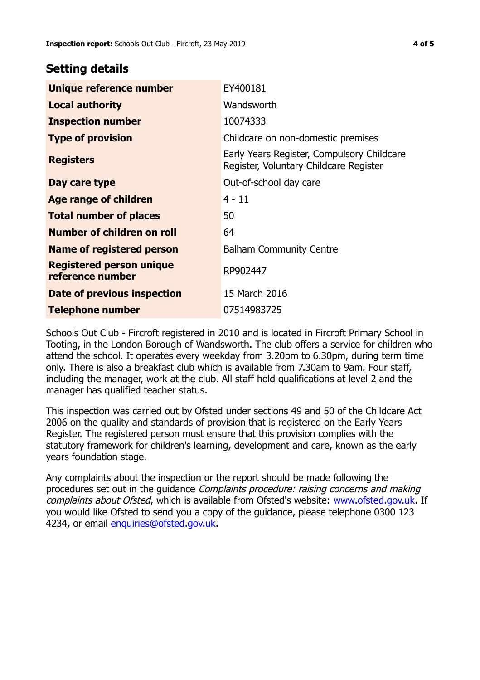# **Setting details**

| Unique reference number                             | EY400181                                                                             |  |
|-----------------------------------------------------|--------------------------------------------------------------------------------------|--|
| <b>Local authority</b>                              | Wandsworth                                                                           |  |
| <b>Inspection number</b>                            | 10074333                                                                             |  |
| <b>Type of provision</b>                            | Childcare on non-domestic premises                                                   |  |
| <b>Registers</b>                                    | Early Years Register, Compulsory Childcare<br>Register, Voluntary Childcare Register |  |
| Day care type                                       | Out-of-school day care                                                               |  |
| <b>Age range of children</b>                        | $4 - 11$                                                                             |  |
| <b>Total number of places</b>                       | 50                                                                                   |  |
| Number of children on roll                          | 64                                                                                   |  |
| Name of registered person                           | <b>Balham Community Centre</b>                                                       |  |
| <b>Registered person unique</b><br>reference number | RP902447                                                                             |  |
| Date of previous inspection                         | 15 March 2016                                                                        |  |
| <b>Telephone number</b>                             | 07514983725                                                                          |  |

Schools Out Club - Fircroft registered in 2010 and is located in Fircroft Primary School in Tooting, in the London Borough of Wandsworth. The club offers a service for children who attend the school. It operates every weekday from 3.20pm to 6.30pm, during term time only. There is also a breakfast club which is available from 7.30am to 9am. Four staff, including the manager, work at the club. All staff hold qualifications at level 2 and the manager has qualified teacher status.

This inspection was carried out by Ofsted under sections 49 and 50 of the Childcare Act 2006 on the quality and standards of provision that is registered on the Early Years Register. The registered person must ensure that this provision complies with the statutory framework for children's learning, development and care, known as the early years foundation stage.

Any complaints about the inspection or the report should be made following the procedures set out in the guidance Complaints procedure: raising concerns and making complaints about Ofsted, which is available from Ofsted's website: www.ofsted.gov.uk. If you would like Ofsted to send you a copy of the guidance, please telephone 0300 123 4234, or email [enquiries@ofsted.gov.uk.](mailto:enquiries@ofsted.gov.uk)